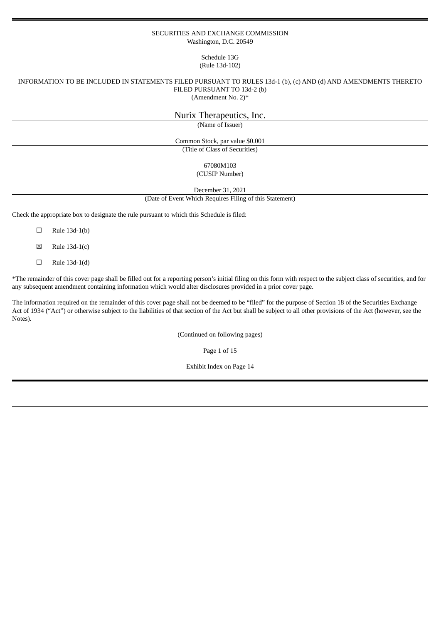#### SECURITIES AND EXCHANGE COMMISSION Washington, D.C. 20549

# Schedule 13G (Rule 13d-102)

# INFORMATION TO BE INCLUDED IN STATEMENTS FILED PURSUANT TO RULES 13d-1 (b), (c) AND (d) AND AMENDMENTS THERETO FILED PURSUANT TO 13d-2 (b)

(Amendment No. 2)\*

| Nurix Therapeutics, Inc.                  |
|-------------------------------------------|
| (Name of Issuer)                          |
| Common Stock, par value \$0.001           |
| (Title of Class of Securities)            |
| 67080M103                                 |
| (CUSIP Number)                            |
| $D_{\text{meas}}$ $L_{\text{em}}$ 21 2021 |

December 31, 2021 (Date of Event Which Requires Filing of this Statement)

Check the appropriate box to designate the rule pursuant to which this Schedule is filed:

 $\Box$  Rule 13d-1(b)

 $\boxtimes$  Rule 13d-1(c)

 $\Box$  Rule 13d-1(d)

\*The remainder of this cover page shall be filled out for a reporting person's initial filing on this form with respect to the subject class of securities, and for any subsequent amendment containing information which would alter disclosures provided in a prior cover page.

The information required on the remainder of this cover page shall not be deemed to be "filed" for the purpose of Section 18 of the Securities Exchange Act of 1934 ("Act") or otherwise subject to the liabilities of that section of the Act but shall be subject to all other provisions of the Act (however, see the Notes).

(Continued on following pages)

Page 1 of 15

Exhibit Index on Page 14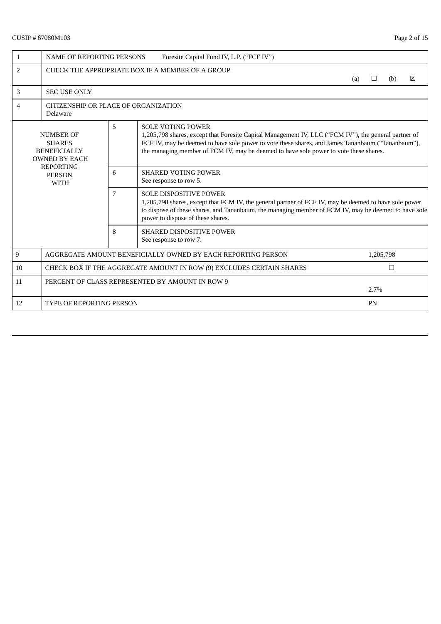# CUSIP # 67080M103 Page 2 of 15

| $\mathbf{1}$                                     | <b>NAME OF REPORTING PERSONS</b><br>Foresite Capital Fund IV, L.P. ("FCF IV")    |   |                                                                                                                                                                                                                                                                                                                                |     |           |        |   |  |  |  |
|--------------------------------------------------|----------------------------------------------------------------------------------|---|--------------------------------------------------------------------------------------------------------------------------------------------------------------------------------------------------------------------------------------------------------------------------------------------------------------------------------|-----|-----------|--------|---|--|--|--|
| 2                                                |                                                                                  |   | CHECK THE APPROPRIATE BOX IF A MEMBER OF A GROUP                                                                                                                                                                                                                                                                               | (a) | $\Box$    | (b)    | 冈 |  |  |  |
| 3                                                | <b>SEC USE ONLY</b>                                                              |   |                                                                                                                                                                                                                                                                                                                                |     |           |        |   |  |  |  |
| 4                                                | CITIZENSHIP OR PLACE OF ORGANIZATION<br>Delaware                                 |   |                                                                                                                                                                                                                                                                                                                                |     |           |        |   |  |  |  |
|                                                  | <b>NUMBER OF</b><br><b>SHARES</b><br><b>BENEFICIALLY</b><br><b>OWNED BY EACH</b> | 5 | <b>SOLE VOTING POWER</b><br>1,205,798 shares, except that Foresite Capital Management IV, LLC ("FCM IV"), the general partner of<br>FCF IV, may be deemed to have sole power to vote these shares, and James Tananbaum ("Tananbaum"),<br>the managing member of FCM IV, may be deemed to have sole power to vote these shares. |     |           |        |   |  |  |  |
| <b>REPORTING</b><br><b>PERSON</b><br><b>WITH</b> |                                                                                  | 6 | <b>SHARED VOTING POWER</b><br>See response to row 5.                                                                                                                                                                                                                                                                           |     |           |        |   |  |  |  |
|                                                  |                                                                                  | 7 | <b>SOLE DISPOSITIVE POWER</b><br>1,205,798 shares, except that FCM IV, the general partner of FCF IV, may be deemed to have sole power<br>to dispose of these shares, and Tananbaum, the managing member of FCM IV, may be deemed to have sole<br>power to dispose of these shares.                                            |     |           |        |   |  |  |  |
|                                                  |                                                                                  | 8 | <b>SHARED DISPOSITIVE POWER</b><br>See response to row 7.                                                                                                                                                                                                                                                                      |     |           |        |   |  |  |  |
| 9                                                |                                                                                  |   | AGGREGATE AMOUNT BENEFICIALLY OWNED BY EACH REPORTING PERSON                                                                                                                                                                                                                                                                   |     | 1,205,798 |        |   |  |  |  |
| 10                                               |                                                                                  |   | CHECK BOX IF THE AGGREGATE AMOUNT IN ROW (9) EXCLUDES CERTAIN SHARES                                                                                                                                                                                                                                                           |     |           | $\Box$ |   |  |  |  |
| 11                                               | PERCENT OF CLASS REPRESENTED BY AMOUNT IN ROW 9<br>2.7%                          |   |                                                                                                                                                                                                                                                                                                                                |     |           |        |   |  |  |  |
| 12                                               | <b>TYPE OF REPORTING PERSON</b>                                                  |   |                                                                                                                                                                                                                                                                                                                                |     | PN        |        |   |  |  |  |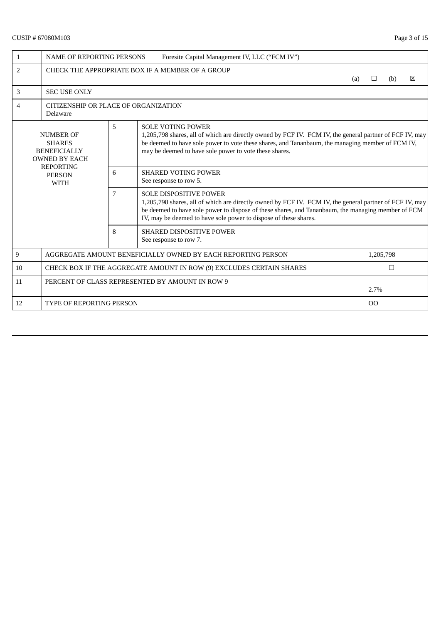# CUSIP # 67080M103 Page 3 of 15

| 1                                                | <b>NAME OF REPORTING PERSONS</b><br>Foresite Capital Management IV, LLC ("FCM IV") |   |                                                                                                                                                                                                                                                                                                                    |     |               |     |   |  |  |  |
|--------------------------------------------------|------------------------------------------------------------------------------------|---|--------------------------------------------------------------------------------------------------------------------------------------------------------------------------------------------------------------------------------------------------------------------------------------------------------------------|-----|---------------|-----|---|--|--|--|
| $\overline{2}$                                   |                                                                                    |   | CHECK THE APPROPRIATE BOX IF A MEMBER OF A GROUP                                                                                                                                                                                                                                                                   | (a) | $\Box$        | (b) | ⊠ |  |  |  |
| 3                                                | <b>SEC USE ONLY</b>                                                                |   |                                                                                                                                                                                                                                                                                                                    |     |               |     |   |  |  |  |
| 4                                                | CITIZENSHIP OR PLACE OF ORGANIZATION<br>Delaware                                   |   |                                                                                                                                                                                                                                                                                                                    |     |               |     |   |  |  |  |
|                                                  | <b>NUMBER OF</b><br><b>SHARES</b><br><b>BENEFICIALLY</b><br><b>OWNED BY EACH</b>   | 5 | <b>SOLE VOTING POWER</b><br>1,205,798 shares, all of which are directly owned by FCF IV. FCM IV, the general partner of FCF IV, may<br>be deemed to have sole power to vote these shares, and Tananbaum, the managing member of FCM IV,<br>may be deemed to have sole power to vote these shares.                  |     |               |     |   |  |  |  |
| <b>REPORTING</b><br><b>PERSON</b><br><b>WITH</b> |                                                                                    | 6 | <b>SHARED VOTING POWER</b><br>See response to row 5.                                                                                                                                                                                                                                                               |     |               |     |   |  |  |  |
|                                                  |                                                                                    | 7 | <b>SOLE DISPOSITIVE POWER</b><br>1,205,798 shares, all of which are directly owned by FCF IV. FCM IV, the general partner of FCF IV, may<br>be deemed to have sole power to dispose of these shares, and Tananbaum, the managing member of FCM<br>IV, may be deemed to have sole power to dispose of these shares. |     |               |     |   |  |  |  |
|                                                  |                                                                                    | 8 | SHARED DISPOSITIVE POWER<br>See response to row 7.                                                                                                                                                                                                                                                                 |     |               |     |   |  |  |  |
| $\boldsymbol{9}$                                 |                                                                                    |   | AGGREGATE AMOUNT BENEFICIALLY OWNED BY EACH REPORTING PERSON                                                                                                                                                                                                                                                       |     | 1,205,798     |     |   |  |  |  |
| 10                                               | CHECK BOX IF THE AGGREGATE AMOUNT IN ROW (9) EXCLUDES CERTAIN SHARES<br>$\Box$     |   |                                                                                                                                                                                                                                                                                                                    |     |               |     |   |  |  |  |
| 11                                               | PERCENT OF CLASS REPRESENTED BY AMOUNT IN ROW 9<br>2.7%                            |   |                                                                                                                                                                                                                                                                                                                    |     |               |     |   |  |  |  |
| 12                                               | <b>TYPE OF REPORTING PERSON</b>                                                    |   |                                                                                                                                                                                                                                                                                                                    |     | <sub>OO</sub> |     |   |  |  |  |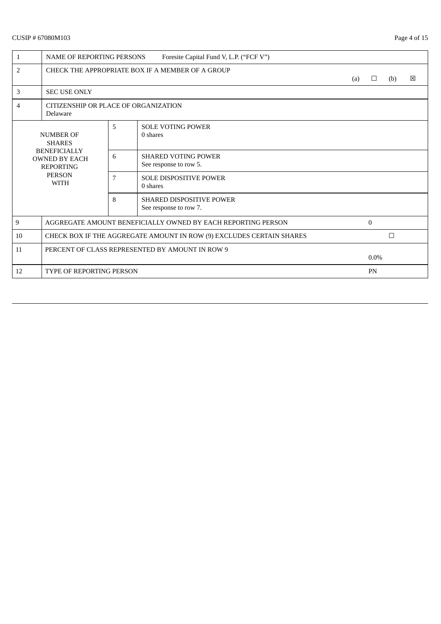# CUSIP # 67080M103 Page 4 of 15

| $\mathbf{1}$                                                                                    | <b>NAME OF REPORTING PERSONS</b><br>Foresite Capital Fund V, L.P. ("FCF V") |   |                                                              |     |              |     |             |  |  |
|-------------------------------------------------------------------------------------------------|-----------------------------------------------------------------------------|---|--------------------------------------------------------------|-----|--------------|-----|-------------|--|--|
| 2                                                                                               |                                                                             |   | CHECK THE APPROPRIATE BOX IF A MEMBER OF A GROUP             | (a) | $\Box$       | (b) | $\boxtimes$ |  |  |
| 3                                                                                               | <b>SEC USE ONLY</b>                                                         |   |                                                              |     |              |     |             |  |  |
| 4                                                                                               | CITIZENSHIP OR PLACE OF ORGANIZATION<br>Delaware                            |   |                                                              |     |              |     |             |  |  |
|                                                                                                 | <b>NUMBER OF</b><br><b>SHARES</b>                                           | 5 | <b>SOLE VOTING POWER</b><br>0 shares                         |     |              |     |             |  |  |
| <b>BENEFICIALLY</b><br><b>OWNED BY EACH</b><br><b>REPORTING</b><br><b>PERSON</b><br><b>WITH</b> |                                                                             | 6 | <b>SHARED VOTING POWER</b><br>See response to row 5.         |     |              |     |             |  |  |
|                                                                                                 |                                                                             | 7 | <b>SOLE DISPOSITIVE POWER</b><br>0 shares                    |     |              |     |             |  |  |
|                                                                                                 |                                                                             | 8 | <b>SHARED DISPOSITIVE POWER</b><br>See response to row 7.    |     |              |     |             |  |  |
| 9                                                                                               |                                                                             |   | AGGREGATE AMOUNT BENEFICIALLY OWNED BY EACH REPORTING PERSON |     | $\mathbf{0}$ |     |             |  |  |
| 10                                                                                              | CHECK BOX IF THE AGGREGATE AMOUNT IN ROW (9) EXCLUDES CERTAIN SHARES        |   |                                                              |     |              | □   |             |  |  |
| 11                                                                                              | PERCENT OF CLASS REPRESENTED BY AMOUNT IN ROW 9                             |   |                                                              |     | $0.0\%$      |     |             |  |  |
| 12                                                                                              | <b>TYPE OF REPORTING PERSON</b>                                             |   |                                                              |     | PN           |     |             |  |  |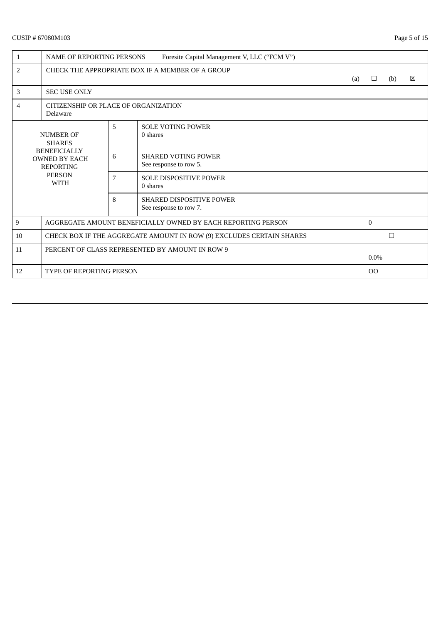# CUSIP # 67080M103 Page 5 of 15

| $\mathbf{1}$                                                                                    | Foresite Capital Management V, LLC ("FCM V")<br><b>NAME OF REPORTING PERSONS</b> |   |                                                              |     |              |        |             |  |  |
|-------------------------------------------------------------------------------------------------|----------------------------------------------------------------------------------|---|--------------------------------------------------------------|-----|--------------|--------|-------------|--|--|
| $\overline{2}$                                                                                  |                                                                                  |   | CHECK THE APPROPRIATE BOX IF A MEMBER OF A GROUP             | (a) | $\Box$       | (b)    | $\boxtimes$ |  |  |
| 3                                                                                               | <b>SEC USE ONLY</b>                                                              |   |                                                              |     |              |        |             |  |  |
| 4                                                                                               | CITIZENSHIP OR PLACE OF ORGANIZATION<br>Delaware                                 |   |                                                              |     |              |        |             |  |  |
|                                                                                                 | <b>NUMBER OF</b><br><b>SHARES</b>                                                | 5 | <b>SOLE VOTING POWER</b><br>0 shares                         |     |              |        |             |  |  |
| <b>BENEFICIALLY</b><br><b>OWNED BY EACH</b><br><b>REPORTING</b><br><b>PERSON</b><br><b>WITH</b> |                                                                                  | 6 | <b>SHARED VOTING POWER</b><br>See response to row 5.         |     |              |        |             |  |  |
|                                                                                                 |                                                                                  | 7 | <b>SOLE DISPOSITIVE POWER</b><br>0 shares                    |     |              |        |             |  |  |
|                                                                                                 |                                                                                  | 8 | <b>SHARED DISPOSITIVE POWER</b><br>See response to row 7.    |     |              |        |             |  |  |
| 9                                                                                               |                                                                                  |   | AGGREGATE AMOUNT BENEFICIALLY OWNED BY EACH REPORTING PERSON |     | $\mathbf{0}$ |        |             |  |  |
| 10                                                                                              | CHECK BOX IF THE AGGREGATE AMOUNT IN ROW (9) EXCLUDES CERTAIN SHARES             |   |                                                              |     |              | $\Box$ |             |  |  |
| 11                                                                                              | PERCENT OF CLASS REPRESENTED BY AMOUNT IN ROW 9                                  |   |                                                              |     | $0.0\%$      |        |             |  |  |
| 12                                                                                              | <b>TYPE OF REPORTING PERSON</b>                                                  |   |                                                              |     | 00           |        |             |  |  |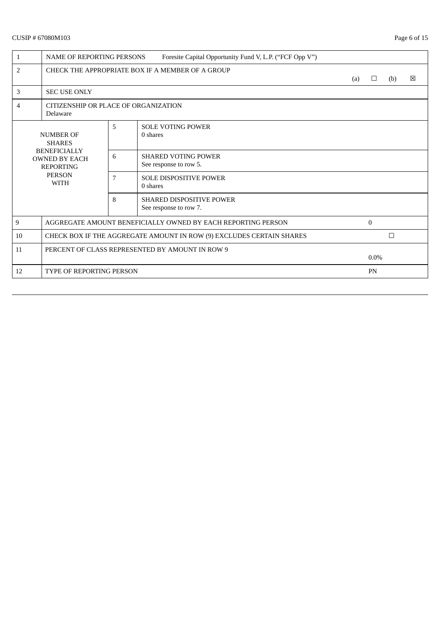# CUSIP # 67080M103 Page 6 of 15

| $\mathbf{1}$                                                                                    | <b>NAME OF REPORTING PERSONS</b>                                     |                                                                               | Foresite Capital Opportunity Fund V, L.P. ("FCF Opp V")      |  |           |   |  |  |  |
|-------------------------------------------------------------------------------------------------|----------------------------------------------------------------------|-------------------------------------------------------------------------------|--------------------------------------------------------------|--|-----------|---|--|--|--|
| $\overline{2}$                                                                                  |                                                                      | CHECK THE APPROPRIATE BOX IF A MEMBER OF A GROUP<br>区<br>(a)<br>$\Box$<br>(b) |                                                              |  |           |   |  |  |  |
| 3                                                                                               | <b>SEC USE ONLY</b>                                                  |                                                                               |                                                              |  |           |   |  |  |  |
| 4                                                                                               | CITIZENSHIP OR PLACE OF ORGANIZATION<br>Delaware                     |                                                                               |                                                              |  |           |   |  |  |  |
|                                                                                                 | <b>NUMBER OF</b><br><b>SHARES</b>                                    | 5                                                                             | <b>SOLE VOTING POWER</b><br>0 shares                         |  |           |   |  |  |  |
| <b>BENEFICIALLY</b><br><b>OWNED BY EACH</b><br><b>REPORTING</b><br><b>PERSON</b><br><b>WITH</b> |                                                                      | 6                                                                             | <b>SHARED VOTING POWER</b><br>See response to row 5.         |  |           |   |  |  |  |
|                                                                                                 |                                                                      | 7                                                                             | <b>SOLE DISPOSITIVE POWER</b><br>0 shares                    |  |           |   |  |  |  |
|                                                                                                 |                                                                      | 8                                                                             | <b>SHARED DISPOSITIVE POWER</b><br>See response to row 7.    |  |           |   |  |  |  |
| 9                                                                                               |                                                                      |                                                                               | AGGREGATE AMOUNT BENEFICIALLY OWNED BY EACH REPORTING PERSON |  | $\theta$  |   |  |  |  |
| 10                                                                                              | CHECK BOX IF THE AGGREGATE AMOUNT IN ROW (9) EXCLUDES CERTAIN SHARES |                                                                               |                                                              |  |           | □ |  |  |  |
| 11                                                                                              | PERCENT OF CLASS REPRESENTED BY AMOUNT IN ROW 9                      |                                                                               |                                                              |  | $0.0\%$   |   |  |  |  |
| 12                                                                                              | <b>TYPE OF REPORTING PERSON</b>                                      |                                                                               |                                                              |  | <b>PN</b> |   |  |  |  |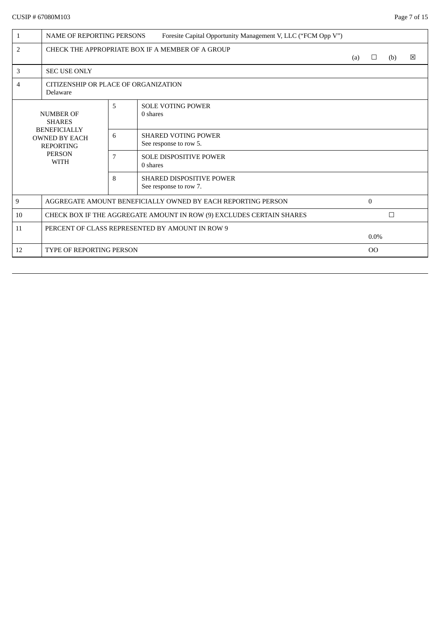| $\mathbf{1}$   | <b>NAME OF REPORTING PERSONS</b>                                                                |   | Foresite Capital Opportunity Management V, LLC ("FCM Opp V") |  |             |        |   |
|----------------|-------------------------------------------------------------------------------------------------|---|--------------------------------------------------------------|--|-------------|--------|---|
| $\overline{2}$ | CHECK THE APPROPRIATE BOX IF A MEMBER OF A GROUP<br>(a)<br>$\Box$                               |   |                                                              |  |             |        | ⊠ |
| 3              | <b>SEC USE ONLY</b>                                                                             |   |                                                              |  |             |        |   |
| 4              | CITIZENSHIP OR PLACE OF ORGANIZATION<br>Delaware                                                |   |                                                              |  |             |        |   |
|                | <b>NUMBER OF</b><br><b>SHARES</b>                                                               | 5 | <b>SOLE VOTING POWER</b><br>0 shares                         |  |             |        |   |
|                | <b>BENEFICIALLY</b><br><b>OWNED BY EACH</b><br><b>REPORTING</b><br><b>PERSON</b><br><b>WITH</b> |   | <b>SHARED VOTING POWER</b><br>See response to row 5.         |  |             |        |   |
|                |                                                                                                 |   | <b>SOLE DISPOSITIVE POWER</b><br>0 shares                    |  |             |        |   |
|                |                                                                                                 | 8 | <b>SHARED DISPOSITIVE POWER</b><br>See response to row 7.    |  |             |        |   |
| 9              |                                                                                                 |   | AGGREGATE AMOUNT BENEFICIALLY OWNED BY EACH REPORTING PERSON |  | $\theta$    |        |   |
| 10             | CHECK BOX IF THE AGGREGATE AMOUNT IN ROW (9) EXCLUDES CERTAIN SHARES                            |   |                                                              |  |             | $\Box$ |   |
| 11             | PERCENT OF CLASS REPRESENTED BY AMOUNT IN ROW 9                                                 |   |                                                              |  | $0.0\%$     |        |   |
| 12             | <b>TYPE OF REPORTING PERSON</b>                                                                 |   |                                                              |  | $_{\rm OO}$ |        |   |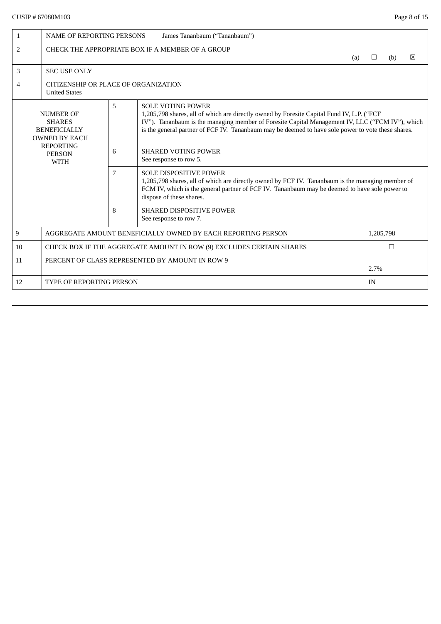| $\mathbf{1}$                                                                                                                                                                                                                                                                                                                                                                                                            | <b>NAME OF REPORTING PERSONS</b><br>James Tananbaum ("Tananbaum")         |                                                           |                                                                                                                                                                                                                                                                |     |        |     |   |  |  |  |
|-------------------------------------------------------------------------------------------------------------------------------------------------------------------------------------------------------------------------------------------------------------------------------------------------------------------------------------------------------------------------------------------------------------------------|---------------------------------------------------------------------------|-----------------------------------------------------------|----------------------------------------------------------------------------------------------------------------------------------------------------------------------------------------------------------------------------------------------------------------|-----|--------|-----|---|--|--|--|
| $\overline{2}$                                                                                                                                                                                                                                                                                                                                                                                                          |                                                                           |                                                           | CHECK THE APPROPRIATE BOX IF A MEMBER OF A GROUP                                                                                                                                                                                                               | (a) | $\Box$ | (b) | 冈 |  |  |  |
| 3                                                                                                                                                                                                                                                                                                                                                                                                                       | <b>SEC USE ONLY</b>                                                       |                                                           |                                                                                                                                                                                                                                                                |     |        |     |   |  |  |  |
| 4                                                                                                                                                                                                                                                                                                                                                                                                                       | CITIZENSHIP OR PLACE OF ORGANIZATION<br><b>United States</b>              |                                                           |                                                                                                                                                                                                                                                                |     |        |     |   |  |  |  |
| 5<br><b>SOLE VOTING POWER</b><br><b>NUMBER OF</b><br>1,205,798 shares, all of which are directly owned by Foresite Capital Fund IV, L.P. ("FCF<br>IV"). Tananbaum is the managing member of Foresite Capital Management IV, LLC ("FCM IV"), which<br><b>SHARES</b><br>is the general partner of FCF IV. Tananbaum may be deemed to have sole power to vote these shares.<br><b>BENEFICIALLY</b><br><b>OWNED BY EACH</b> |                                                                           |                                                           |                                                                                                                                                                                                                                                                |     |        |     |   |  |  |  |
| <b>REPORTING</b><br><b>PERSON</b><br><b>WITH</b>                                                                                                                                                                                                                                                                                                                                                                        |                                                                           | 6<br><b>SHARED VOTING POWER</b><br>See response to row 5. |                                                                                                                                                                                                                                                                |     |        |     |   |  |  |  |
|                                                                                                                                                                                                                                                                                                                                                                                                                         |                                                                           | $\overline{7}$                                            | <b>SOLE DISPOSITIVE POWER</b><br>1,205,798 shares, all of which are directly owned by FCF IV. Tananbaum is the managing member of<br>FCM IV, which is the general partner of FCF IV. Tananbaum may be deemed to have sole power to<br>dispose of these shares. |     |        |     |   |  |  |  |
|                                                                                                                                                                                                                                                                                                                                                                                                                         |                                                                           | 8                                                         | <b>SHARED DISPOSITIVE POWER</b><br>See response to row 7.                                                                                                                                                                                                      |     |        |     |   |  |  |  |
| 9                                                                                                                                                                                                                                                                                                                                                                                                                       | AGGREGATE AMOUNT BENEFICIALLY OWNED BY EACH REPORTING PERSON<br>1,205,798 |                                                           |                                                                                                                                                                                                                                                                |     |        |     |   |  |  |  |
| 10                                                                                                                                                                                                                                                                                                                                                                                                                      | CHECK BOX IF THE AGGREGATE AMOUNT IN ROW (9) EXCLUDES CERTAIN SHARES<br>□ |                                                           |                                                                                                                                                                                                                                                                |     |        |     |   |  |  |  |
| 11                                                                                                                                                                                                                                                                                                                                                                                                                      | PERCENT OF CLASS REPRESENTED BY AMOUNT IN ROW 9<br>2.7%                   |                                                           |                                                                                                                                                                                                                                                                |     |        |     |   |  |  |  |
| 12                                                                                                                                                                                                                                                                                                                                                                                                                      | <b>TYPE OF REPORTING PERSON</b>                                           |                                                           |                                                                                                                                                                                                                                                                |     | IN     |     |   |  |  |  |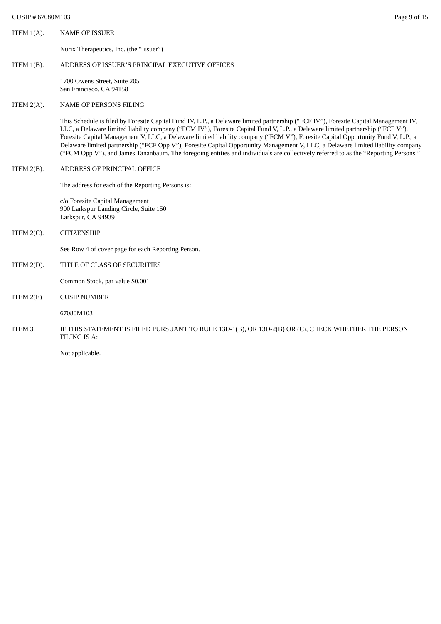ITEM 1(A). NAME OF ISSUER

Nurix Therapeutics, Inc. (the "Issuer")

#### ITEM 1(B). ADDRESS OF ISSUER'S PRINCIPAL EXECUTIVE OFFICES

1700 Owens Street, Suite 205 San Francisco, CA 94158

#### ITEM 2(A). NAME OF PERSONS FILING

This Schedule is filed by Foresite Capital Fund IV, L.P., a Delaware limited partnership ("FCF IV"), Foresite Capital Management IV, LLC, a Delaware limited liability company ("FCM IV"), Foresite Capital Fund V, L.P., a Delaware limited partnership ("FCF V"), Foresite Capital Management V, LLC, a Delaware limited liability company ("FCM V"), Foresite Capital Opportunity Fund V, L.P., a Delaware limited partnership ("FCF Opp V"), Foresite Capital Opportunity Management V, LLC, a Delaware limited liability company ("FCM Opp V"), and James Tananbaum. The foregoing entities and individuals are collectively referred to as the "Reporting Persons."

## ITEM 2(B). ADDRESS OF PRINCIPAL OFFICE

The address for each of the Reporting Persons is:

c/o Foresite Capital Management 900 Larkspur Landing Circle, Suite 150 Larkspur, CA 94939

ITEM 2(C). CITIZENSHIP

See Row 4 of cover page for each Reporting Person.

# ITEM 2(D). TITLE OF CLASS OF SECURITIES

Common Stock, par value \$0.001

ITEM 2(E) CUSIP NUMBER

67080M103

# ITEM 3. IF THIS STATEMENT IS FILED PURSUANT TO RULE 13D-1(B), OR 13D-2(B) OR (C), CHECK WHETHER THE PERSON FILING IS A:

Not applicable.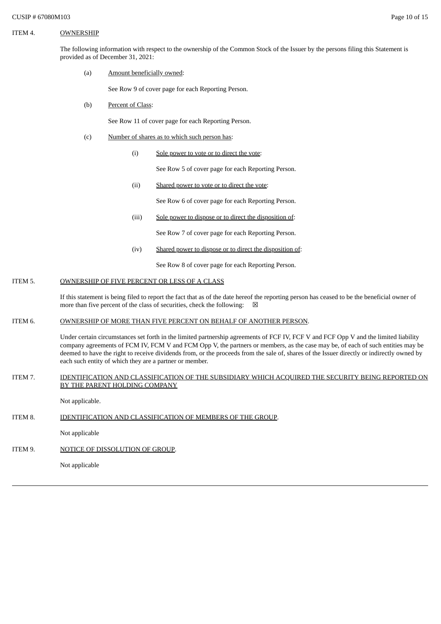### ITEM 4. OWNERSHIP

The following information with respect to the ownership of the Common Stock of the Issuer by the persons filing this Statement is provided as of December 31, 2021:

(a) Amount beneficially owned:

See Row 9 of cover page for each Reporting Person.

(b) Percent of Class:

See Row 11 of cover page for each Reporting Person.

- (c) Number of shares as to which such person has:
	- (i) Sole power to vote or to direct the vote:

See Row 5 of cover page for each Reporting Person.

(ii) Shared power to vote or to direct the vote:

See Row 6 of cover page for each Reporting Person.

(iii) Sole power to dispose or to direct the disposition of:

See Row 7 of cover page for each Reporting Person.

(iv) Shared power to dispose or to direct the disposition of:

See Row 8 of cover page for each Reporting Person.

# ITEM 5. OWNERSHIP OF FIVE PERCENT OR LESS OF A CLASS

If this statement is being filed to report the fact that as of the date hereof the reporting person has ceased to be the beneficial owner of more than five percent of the class of securities, check the following:  $\boxtimes$ 

# ITEM 6. OWNERSHIP OF MORE THAN FIVE PERCENT ON BEHALF OF ANOTHER PERSON.

Under certain circumstances set forth in the limited partnership agreements of FCF IV, FCF V and FCF Opp V and the limited liability company agreements of FCM IV, FCM V and FCM Opp V, the partners or members, as the case may be, of each of such entities may be deemed to have the right to receive dividends from, or the proceeds from the sale of, shares of the Issuer directly or indirectly owned by each such entity of which they are a partner or member.

### ITEM 7. IDENTIFICATION AND CLASSIFICATION OF THE SUBSIDIARY WHICH ACQUIRED THE SECURITY BEING REPORTED ON BY THE PARENT HOLDING COMPANY

Not applicable.

# ITEM 8. **IDENTIFICATION AND CLASSIFICATION OF MEMBERS OF THE GROUP.**

Not applicable

ITEM 9. NOTICE OF DISSOLUTION OF GROUP.

Not applicable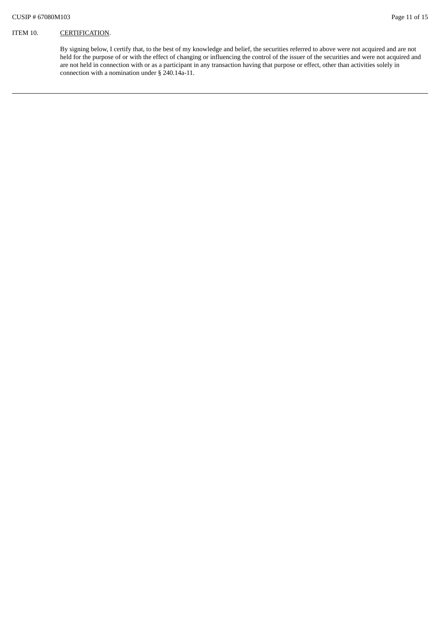By signing below, I certify that, to the best of my knowledge and belief, the securities referred to above were not acquired and are not held for the purpose of or with the effect of changing or influencing the control of the issuer of the securities and were not acquired and are not held in connection with or as a participant in any transaction having that purpose or effect, other than activities solely in connection with a nomination under § 240.14a-11.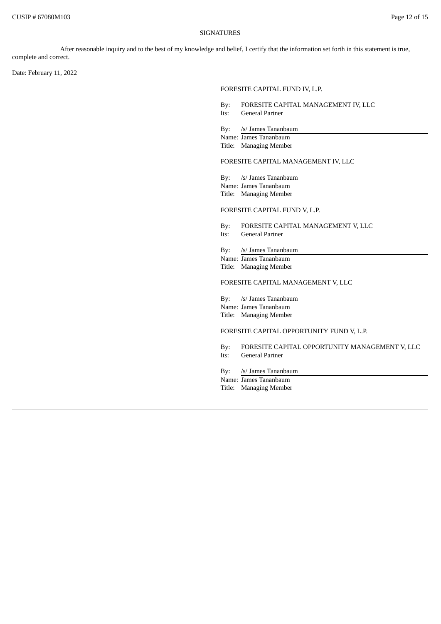#### **SIGNATURES**

After reasonable inquiry and to the best of my knowledge and belief, I certify that the information set forth in this statement is true, complete and correct.

Date: February 11, 2022

#### FORESITE CAPITAL FUND IV, L.P.

- By: FORESITE CAPITAL MANAGEMENT IV, LLC Its: General Partner
- By: /s/ James Tananbaum
- Name: James Tananbaum
- Title: Managing Member

### FORESITE CAPITAL MANAGEMENT IV, LLC

- By: /s/ James Tananbaum
- Name: James Tananbaum Title: Managing Member

#### FORESITE CAPITAL FUND V, L.P.

- By: FORESITE CAPITAL MANAGEMENT V, LLC
- Its: General Partner
- By: /s/ James Tananbaum
- Name: James Tananbaum
- Title: Managing Member

### FORESITE CAPITAL MANAGEMENT V, LLC

- By: /s/ James Tananbaum
- Name: James Tananbaum Title: Managing Member
- 

### FORESITE CAPITAL OPPORTUNITY FUND V, L.P.

- By: FORESITE CAPITAL OPPORTUNITY MANAGEMENT V, LLC Its: General Partner
- By: /s/ James Tananbaum
- Name: James Tananbaum Title: Managing Member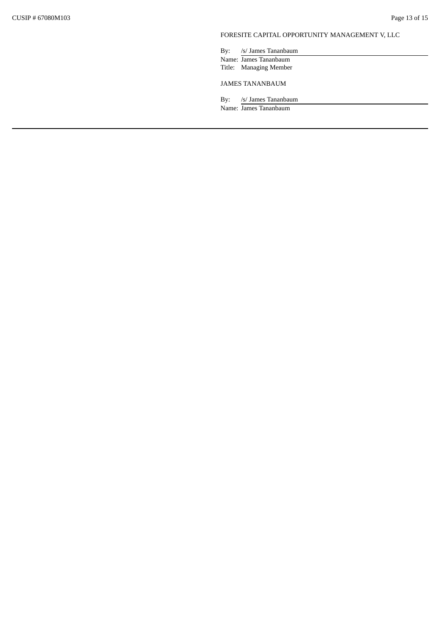# FORESITE CAPITAL OPPORTUNITY MANAGEMENT V, LLC

By: /s/ James Tananbaum Name: James Tananbaum Title: Managing Member

JAMES TANANBAUM

By: /s/ James Tananbaum

Name: James Tananbaum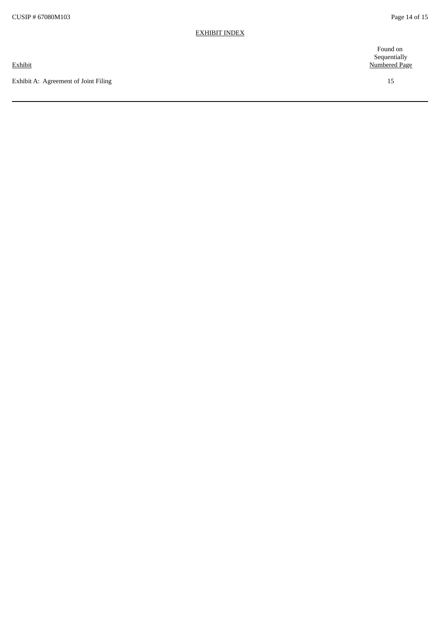Exhibit A: Agreement of Joint Filing

Found on Sequentially Numbered Page

1 5